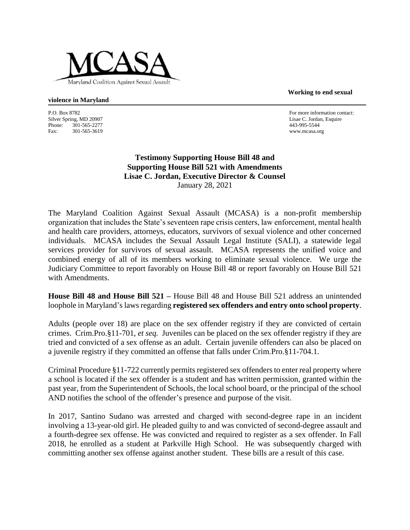

**Working to end sexual** 

## **violence in Maryland**

P.O. Box 8782 For more information contact: Silver Spring, MD 20907 Lisae C. Jordan, Esquire Phone: 301-565-2277 443-995-5544<br>
Fax: 301-565-3619 www.mcasa.org Fax: 301-565-3619 www.mcasa.org

## **Testimony Supporting House Bill 48 and Supporting House Bill 521 with Amendments Lisae C. Jordan, Executive Director & Counsel** January 28, 2021

The Maryland Coalition Against Sexual Assault (MCASA) is a non-profit membership organization that includes the State's seventeen rape crisis centers, law enforcement, mental health and health care providers, attorneys, educators, survivors of sexual violence and other concerned individuals. MCASA includes the Sexual Assault Legal Institute (SALI), a statewide legal services provider for survivors of sexual assault. MCASA represents the unified voice and combined energy of all of its members working to eliminate sexual violence. We urge the Judiciary Committee to report favorably on House Bill 48 or report favorably on House Bill 521 with Amendments.

**House Bill 48 and House Bill 521 –** House Bill 48 and House Bill 521 address an unintended loophole in Maryland's laws regarding **registered sex offenders and entry onto school property**.

Adults (people over 18) are place on the sex offender registry if they are convicted of certain crimes. Crim.Pro.§11-701, *et seq.* Juveniles can be placed on the sex offender registry if they are tried and convicted of a sex offense as an adult. Certain juvenile offenders can also be placed on a juvenile registry if they committed an offense that falls under Crim.Pro.§11-704.1.

Criminal Procedure §11-722 currently permits registered sex offenders to enter real property where a school is located if the sex offender is a student and has written permission, granted within the past year, from the Superintendent of Schools, the local school board, or the principal of the school AND notifies the school of the offender's presence and purpose of the visit.

In 2017, Santino Sudano was arrested and charged with second-degree rape in an incident involving a 13-year-old girl. He pleaded guilty to and was convicted of second-degree assault and a fourth-degree sex offense. He was convicted and required to register as a sex offender. In Fall 2018, he enrolled as a student at Parkville High School. He was subsequently charged with committing another sex offense against another student. These bills are a result of this case.